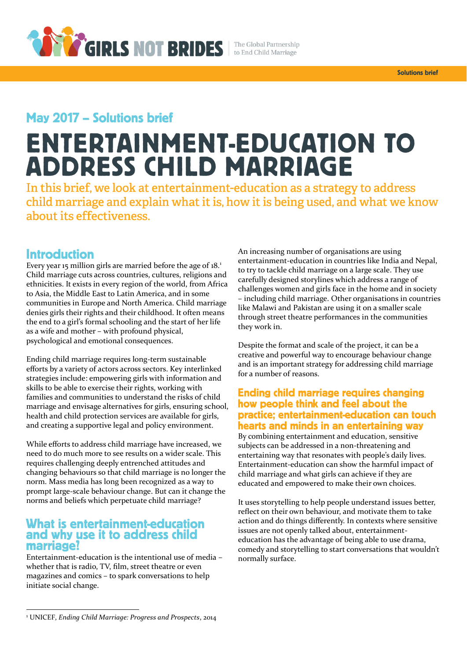

## May 2017 - Solutions brief

# **ENTERTAINMENT-EDUCATION TO ADDRESS CHILD MARRIAGE**

In this brief, we look at entertainment-education as a strategy to address child marriage and explain what it is, how it is being used, and what we know about its effectiveness.

## **Introduction**

Every year 15 million girls are married before the age of 18.<sup>1</sup> Child marriage cuts across countries, cultures, religions and ethnicities. It exists in every region of the world, from Africa to Asia, the Middle East to Latin America, and in some communities in Europe and North America. Child marriage denies girls their rights and their childhood. It often means the end to a girl's formal schooling and the start of her life as a wife and mother – with profound physical, psychological and emotional consequences.

Ending child marriage requires long-term sustainable efforts by a variety of actors across sectors. Key interlinked strategies include: empowering girls with information and skills to be able to exercise their rights, working with families and communities to understand the risks of child marriage and envisage alternatives for girls, ensuring school, health and child protection services are available for girls, and creating a supportive legal and policy environment.

While efforts to address child marriage have increased, we need to do much more to see results on a wider scale. This requires challenging deeply entrenched attitudes and changing behaviours so that child marriage is no longer the norm. Mass media has long been recognized as a way to prompt large-scale behaviour change. But can it change the norms and beliefs which perpetuate child marriage?

## What is entertainment-education<br>and why use it to address child marriage?

Entertainment-education is the intentional use of media – whether that is radio, TV, film, street theatre or even magazines and comics – to spark conversations to help initiate social change.

An increasing number of organisations are using entertainment-education in countries like India and Nepal, to try to tackle child marriage on a large scale. They use carefully designed storylines which address a range of challenges women and girls face in the home and in society – including child marriage. Other organisations in countries like Malawi and Pakistan are using it on a smaller scale through street theatre performances in the communities they work in.

Despite the format and scale of the project, it can be a creative and powerful way to encourage behaviour change and is an important strategy for addressing child marriage for a number of reasons.

#### **Ending child marriage requires changing** how people think and feel about the practice; entertainment-education can touch hearts and minds in an entertaining way

By combining entertainment and education, sensitive subjects can be addressed in a non-threatening and entertaining way that resonates with people's daily lives. Entertainment-education can show the harmful impact of child marriage and what girls can achieve if they are educated and empowered to make their own choices.

It uses storytelling to help people understand issues better, reflect on their own behaviour, and motivate them to take action and do things differently. In contexts where sensitive issues are not openly talked about, entertainmenteducation has the advantage of being able to use drama, comedy and storytelling to start conversations that wouldn't normally surface.

l

<sup>1</sup> UNICEF, *Ending Child Marriage: Progress and Prospects*, 2014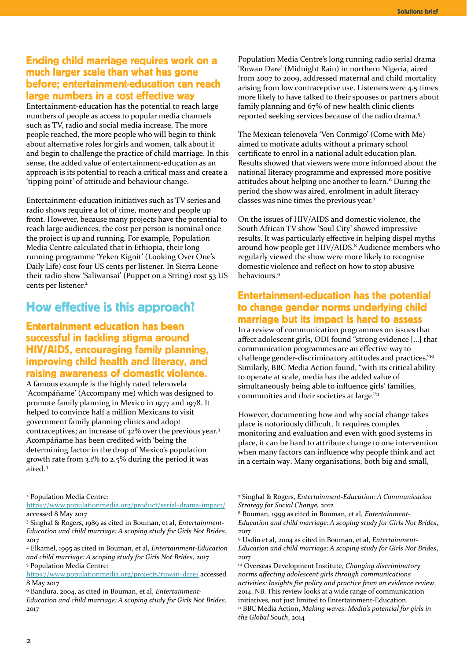### Ending child marriage requires work on a much larger scale than what has gone before: entertainment-education can reach large numbers in a cost effective way

Entertainment-education has the potential to reach large numbers of people as access to popular media channels such as TV, radio and social media increase. The more people reached, the more people who will begin to think about alternative roles for girls and women, talk about it and begin to challenge the practice of child marriage. In this sense, the added value of entertainment-education as an approach is its potential to reach a critical mass and create a 'tipping point' of attitude and behaviour change.

Entertainment-education initiatives such as TV series and radio shows require a lot of time, money and people up front. However, because many projects have the potential to reach large audiences, the cost per person is nominal once the project is up and running. For example, Population Media Centre calculated that in Ethiopia, their long running programme 'Yeken Kignit' (Looking Over One's Daily Life) cost four US cents per listener. In Sierra Leone their radio show 'Saliwansai' (Puppet on a String) cost 53 US cents per listener.<sup>2</sup>

## How effective is this approach?

## **Entertainment education has been** successful in tackling stigma around **HIV/AIDS, encouraging family planning.** improving child health and literacy, and raising awareness of domestic violence.

A famous example is the highly rated telenovela 'Acompáñame' (Accompany me) which was designed to promote family planning in Mexico in 1977 and 1978. It helped to convince half a million Mexicans to visit government family planning clinics and adopt contraceptives; an increase of 32% over the previous year.<sup>3</sup> Acompáñame has been credited with 'being the determining factor in the drop of Mexico's population growth rate from 3.1% to 2.5% during the period it was aired. 4

<sup>4</sup> Elkamel, 1995 as cited in Bouman, et al, *Entertainment-Education and child marriage: A scoping study for Girls Not Brides*, 2017 <sup>5</sup> Population Media Centre:

Population Media Centre's long running radio serial drama 'Ruwan Dare' (Midnight Rain) in northern Nigeria, aired from 2007 to 2009, addressed maternal and child mortality arising from low contraceptive use. Listeners were 4.5 times more likely to have talked to their spouses or partners about family planning and 67% of new health clinic clients reported seeking services because of the radio drama.<sup>5</sup>

The Mexican telenovela 'Ven Conmigo' (Come with Me) aimed to motivate adults without a primary school certificate to enrol in a national adult education plan. Results showed that viewers were more informed about the national literacy programme and expressed more positive attitudes about helping one another to learn.<sup>6</sup> During the period the show was aired, enrolment in adult literacy classes was nine times the previous year.<sup>7</sup>

On the issues of HIV/AIDS and domestic violence, the South African TV show 'Soul City' showed impressive results. It was particularly effective in helping dispel myths around how people get HIV/AIDS. <sup>8</sup> Audience members who regularly viewed the show were more likely to recognise domestic violence and reflect on how to stop abusive behaviours.<sup>9</sup>

### **Entertainment-education has the potential** to change gender norms underlying child marriage but its impact is hard to assess

In a review of communication programmes on issues that affect adolescent girls, ODI found "strong evidence […] that communication programmes are an effective way to challenge gender-discriminatory attitudes and practices."<sup>10</sup> Similarly, BBC Media Action found, "with its critical ability to operate at scale, media has the added value of simultaneously being able to influence girls' families, communities and their societies at large."11

However, documenting how and why social change takes place is notoriously difficult. It requires complex monitoring and evaluation and even with good systems in place, it can be hard to attribute change to one intervention when many factors can influence why people think and act in a certain way. Many organisations, both big and small,

<sup>7</sup> Singhal & Rogers, *Entertainment-Education: A Communication Strategy for Social Change,* 2012

<sup>8</sup> Bouman, 1999 as cited in Bouman, et al, *Entertainment-Education and child marriage: A scoping study for Girls Not Brides*, 2017

<sup>9</sup> Usdin et al, 2004 as cited in Bouman, et al, *Entertainment-Education and child marriage: A scoping study for Girls Not Brides*, 2017

<sup>10</sup> Overseas Development Institute, *Changing discriminatory norms affecting adolescent girls through communications activities: Insights for policy and practice from an evidence review*, 2014. NB. This review looks at a wide range of communication initiatives, not just limited to Entertainment-Education. <sup>11</sup> BBC Media Action, *Making waves: Media's potential for girls in the Global South*, 2014

l

<sup>2</sup> Population Media Centre:

<https://www.populationmedia.org/product/serial-drama-impact/> accessed 8 May 2017

<sup>3</sup> Singhal & Rogers, 1989 as cited in Bouman, et al, *Entertainment-Education and child marriage: A scoping study for Girls Not Brides*, 2017

<https://www.populationmedia.org/projects/ruwan-dare/> accessed 8 May 2017

<sup>6</sup> Bandura, 2004, as cited in Bouman, et al, *Entertainment-*

*Education and child marriage: A scoping study for Girls Not Brides*, 2017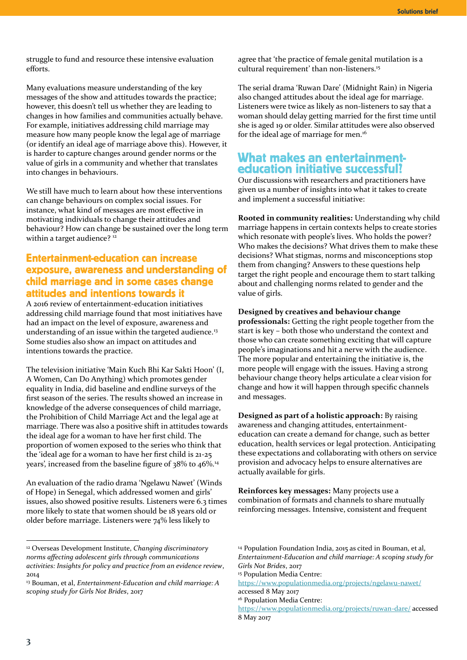struggle to fund and resource these intensive evaluation efforts.

Many evaluations measure understanding of the key messages of the show and attitudes towards the practice; however, this doesn't tell us whether they are leading to changes in how families and communities actually behave. For example, initiatives addressing child marriage may measure how many people know the legal age of marriage (or identify an ideal age of marriage above this). However, it is harder to capture changes around gender norms or the value of girls in a community and whether that translates into changes in behaviours.

We still have much to learn about how these interventions can change behaviours on complex social issues. For instance, what kind of messages are most effective in motivating individuals to change their attitudes and behaviour? How can change be sustained over the long term within a target audience?<sup>12</sup>

## **Entertainment-education can increase** exposure, awareness and understanding of child marriage and in some cases change attitudes and intentions towards it

A 2016 review of entertainment-education initiatives addressing child marriage found that most initiatives have had an impact on the level of exposure, awareness and understanding of an issue within the targeted audience.<sup>13</sup> Some studies also show an impact on attitudes and intentions towards the practice.

The television initiative 'Main Kuch Bhi Kar Sakti Hoon' (I, A Women, Can Do Anything) which promotes gender equality in India, did baseline and endline surveys of the first season of the series. The results showed an increase in knowledge of the adverse consequences of child marriage, the Prohibition of Child Marriage Act and the legal age at marriage. There was also a positive shift in attitudes towards the ideal age for a woman to have her first child. The proportion of women exposed to the series who think that the 'ideal age for a woman to have her first child is 21-25 years', increased from the baseline figure of 38% to 46%.<sup>14</sup>

An evaluation of the radio drama 'Ngelawu Nawet' (Winds of Hope) in Senegal, which addressed women and girls' issues, also showed positive results. Listeners were 6.3 times more likely to state that women should be 18 years old or older before marriage. Listeners were 74% less likely to

agree that 'the practice of female genital mutilation is a cultural requirement' than non-listeners.<sup>15</sup>

The serial drama 'Ruwan Dare' (Midnight Rain) in Nigeria also changed attitudes about the ideal age for marriage. Listeners were twice as likely as non-listeners to say that a woman should delay getting married for the first time until she is aged 19 or older. Similar attitudes were also observed for the ideal age of marriage for men.<sup>16</sup>

## What makes an entertainment-<br>education initiative successful?

Our discussions with researchers and practitioners have given us a number of insights into what it takes to create and implement a successful initiative:

**Rooted in community realities:** Understanding why child marriage happens in certain contexts helps to create stories which resonate with people's lives. Who holds the power? Who makes the decisions? What drives them to make these decisions? What stigmas, norms and misconceptions stop them from changing? Answers to these questions help target the right people and encourage them to start talking about and challenging norms related to gender and the value of girls.

#### **Designed by creatives and behaviour change**

**professionals:** Getting the right people together from the start is key – both those who understand the context and those who can create something exciting that will capture people's imaginations and hit a nerve with the audience. The more popular and entertaining the initiative is, the more people will engage with the issues. Having a strong behaviour change theory helps articulate a clear vision for change and how it will happen through specific channels and messages.

**Designed as part of a holistic approach:** By raising awareness and changing attitudes, entertainmenteducation can create a demand for change, such as better education, health services or legal protection. Anticipating these expectations and collaborating with others on service provision and advocacy helps to ensure alternatives are actually available for girls.

**Reinforces key messages:** Many projects use a combination of formats and channels to share mutually reinforcing messages. Intensive, consistent and frequent

-

<sup>12</sup> Overseas Development Institute, *Changing discriminatory norms affecting adolescent girls through communications activities: Insights for policy and practice from an evidence review*, 2014

<sup>13</sup> Bouman, et al, *Entertainment-Education and child marriage: A scoping study for Girls Not Brides*, 2017

<sup>14</sup> Population Foundation India, 2015 as cited in Bouman, et al, *Entertainment-Education and child marriage: A scoping study for Girls Not Brides*, 2017

<sup>15</sup> Population Media Centre:

<https://www.populationmedia.org/projects/ngelawu-nawet/> accessed 8 May 2017

<sup>16</sup> Population Media Centre:

<https://www.populationmedia.org/projects/ruwan-dare/> accessed 8 May 2017